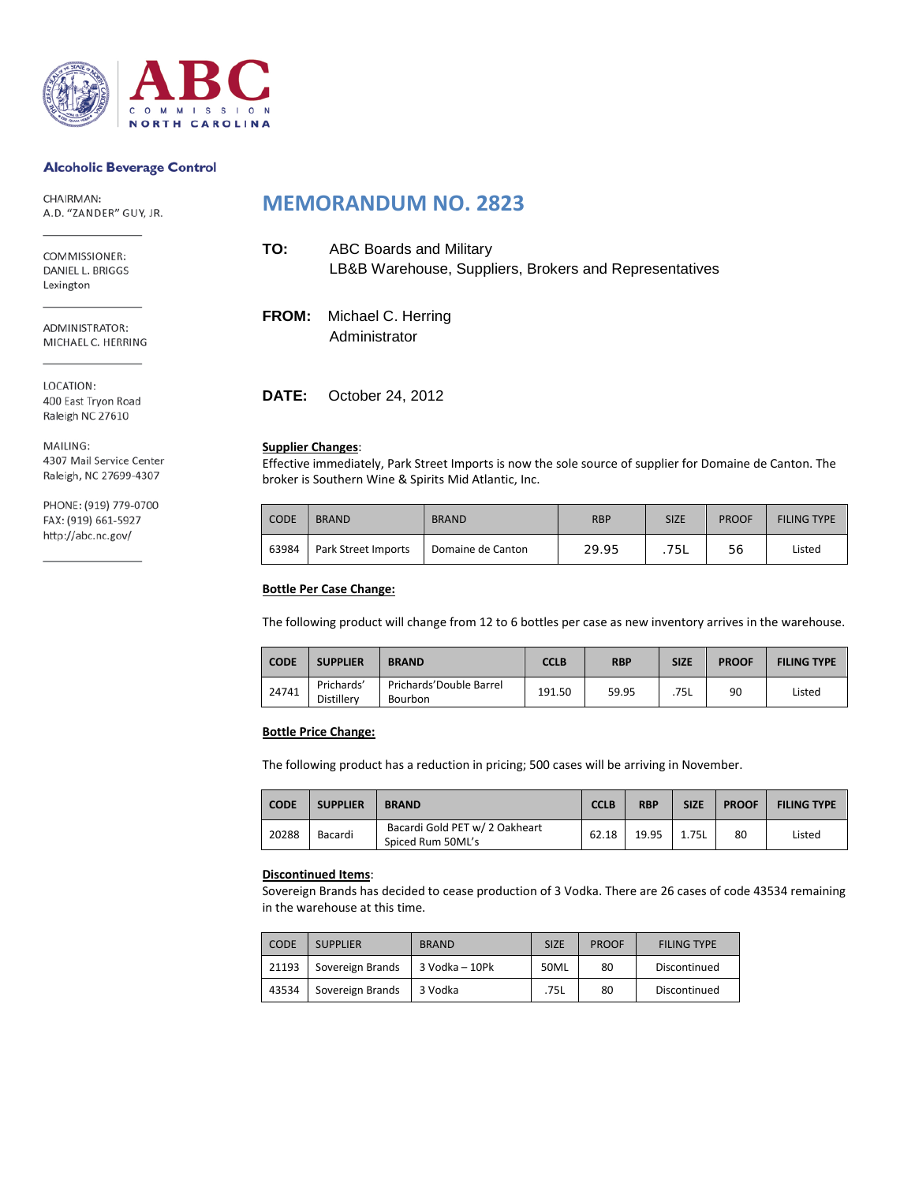

### **Alcoholic Beverage Control**

CHAIRMAN: A.D. "ZANDER" GUY, JR.

COMMISSIONER: DANIEL L. BRIGGS Lexington

ADMINISTRATOR: MICHAEL C. HERRING

LOCATION: 400 East Tryon Road Raleigh NC 27610

MAILING: 4307 Mail Service Center Raleigh, NC 27699-4307

PHONE: (919) 779-0700 FAX: (919) 661-5927 http://abc.nc.gov/

## **MEMORANDUM NO. 2823**

| TO:          | ABC Boards and Military<br>LB&B Warehouse, Suppliers, Brokers and Representatives |
|--------------|-----------------------------------------------------------------------------------|
| <b>FROM:</b> | Michael C. Herring<br>Administrator                                               |

**DATE:** October 24, 2012

#### **Supplier Changes**:

Effective immediately, Park Street Imports is now the sole source of supplier for Domaine de Canton. The broker is Southern Wine & Spirits Mid Atlantic, Inc.

| <b>CODE</b> | <b>BRAND</b>        | <b>BRAND</b>      | <b>RBP</b> | <b>SIZE</b> | <b>PROOF</b> | <b>FILING TYPE</b> |
|-------------|---------------------|-------------------|------------|-------------|--------------|--------------------|
| 63984       | Park Street Imports | Domaine de Canton | 29.95      | 75L         | 56           | Listed             |

## **Bottle Per Case Change:**

The following product will change from 12 to 6 bottles per case as new inventory arrives in the warehouse.

| <b>CODE</b> | <b>SUPPLIER</b>                 | <b>BRAND</b>                              | CCLB   | <b>RBP</b> | <b>SIZE</b> | <b>PROOF</b> | <b>FILING TYPE</b> |
|-------------|---------------------------------|-------------------------------------------|--------|------------|-------------|--------------|--------------------|
| 24741       | Prichards'<br><b>Distillerv</b> | Prichards'Double Barrel<br><b>Bourbon</b> | 191.50 | 59.95      | .75L        | 90           | Listed             |

## **Bottle Price Change:**

The following product has a reduction in pricing; 500 cases will be arriving in November.

| <b>CODE</b> | <b>SUPPLIER</b> | <b>BRAND</b>                                        | <b>CCLB</b> | <b>RBP</b> | <b>SIZE</b> | <b>PROOF</b> | <b>FILING TYPE</b> |
|-------------|-----------------|-----------------------------------------------------|-------------|------------|-------------|--------------|--------------------|
| 20288       | Bacardi         | Bacardi Gold PET w/ 2 Oakheart<br>Spiced Rum 50ML's | 62.18       | 19.95      | 1.75L       | 80           | Listed             |

#### **Discontinued Items**:

Sovereign Brands has decided to cease production of 3 Vodka. There are 26 cases of code 43534 remaining in the warehouse at this time.

| CODE  | <b>SUPPLIER</b>  | <b>BRAND</b>   | <b>SIZE</b> | <b>PROOF</b> | <b>FILING TYPE</b> |
|-------|------------------|----------------|-------------|--------------|--------------------|
| 21193 | Sovereign Brands | 3 Vodka - 10Pk | 50ML        | 80           | Discontinued       |
| 43534 | Sovereign Brands | 3 Vodka        | .75L        | 80           | Discontinued       |